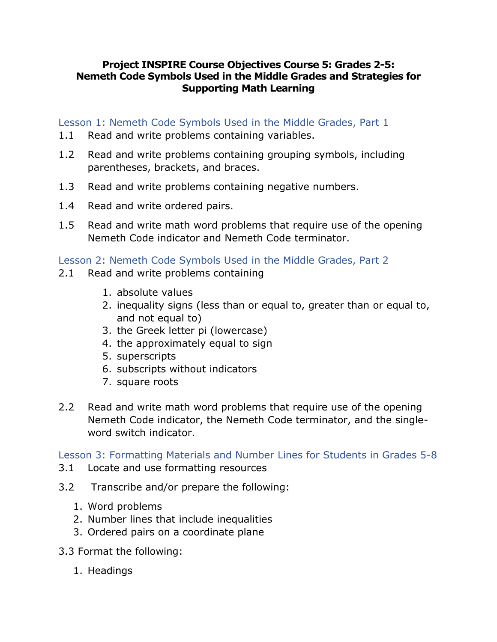## **Project INSPIRE Course Objectives Course 5: Grades 2-5: Nemeth Code Symbols Used in the Middle Grades and Strategies for Supporting Math Learning**

Lesson 1: Nemeth Code Symbols Used in the Middle Grades, Part 1

- 1.1 Read and write problems containing variables.
- 1.2 Read and write problems containing grouping symbols, including parentheses, brackets, and braces.
- 1.3 Read and write problems containing negative numbers.
- 1.4 Read and write ordered pairs.
- 1.5 Read and write math word problems that require use of the opening Nemeth Code indicator and Nemeth Code terminator.

Lesson 2: Nemeth Code Symbols Used in the Middle Grades, Part 2

- 2.1 Read and write problems containing
	- 1. absolute values
	- 2. inequality signs (less than or equal to, greater than or equal to, and not equal to)
	- 3. the Greek letter pi (lowercase)
	- 4. the approximately equal to sign
	- 5. superscripts
	- 6. subscripts without indicators
	- 7. square roots
- 2.2 Read and write math word problems that require use of the opening Nemeth Code indicator, the Nemeth Code terminator, and the singleword switch indicator.

Lesson 3: Formatting Materials and Number Lines for Students in Grades 5-8

- 3.1 Locate and use formatting resources
- 3.2 Transcribe and/or prepare the following:
	- 1. Word problems
	- 2. Number lines that include inequalities
	- 3. Ordered pairs on a coordinate plane
- 3.3 Format the following:
	- 1. Headings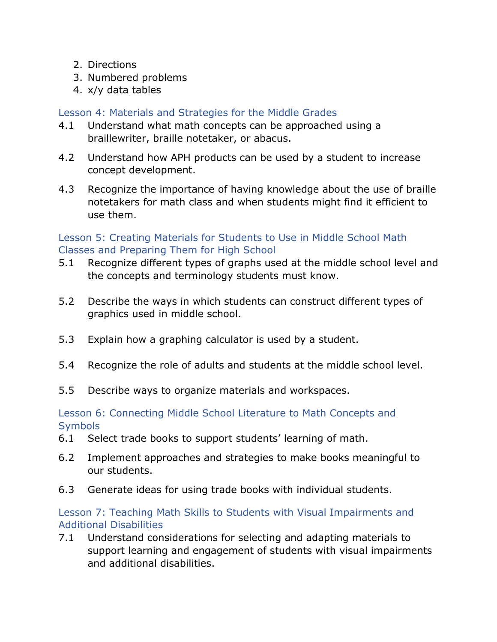- 2. Directions
- 3. Numbered problems
- 4. x/y data tables

# Lesson 4: Materials and Strategies for the Middle Grades

- 4.1 Understand what math concepts can be approached using a braillewriter, braille notetaker, or abacus.
- 4.2 Understand how APH products can be used by a student to increase concept development.
- 4.3 Recognize the importance of having knowledge about the use of braille notetakers for math class and when students might find it efficient to use them.

# Lesson 5: Creating Materials for Students to Use in Middle School Math Classes and Preparing Them for High School

- 5.1 Recognize different types of graphs used at the middle school level and the concepts and terminology students must know.
- 5.2 Describe the ways in which students can construct different types of graphics used in middle school.
- 5.3 Explain how a graphing calculator is used by a student.
- 5.4 Recognize the role of adults and students at the middle school level.
- 5.5 Describe ways to organize materials and workspaces.

#### Lesson 6: Connecting Middle School Literature to Math Concepts and **Symbols**

- 6.1 Select trade books to support students' learning of math.
- 6.2 Implement approaches and strategies to make books meaningful to our students.
- 6.3 Generate ideas for using trade books with individual students.

## Lesson 7: Teaching Math Skills to Students with Visual Impairments and Additional Disabilities

7.1 Understand considerations for selecting and adapting materials to support learning and engagement of students with visual impairments and additional disabilities.